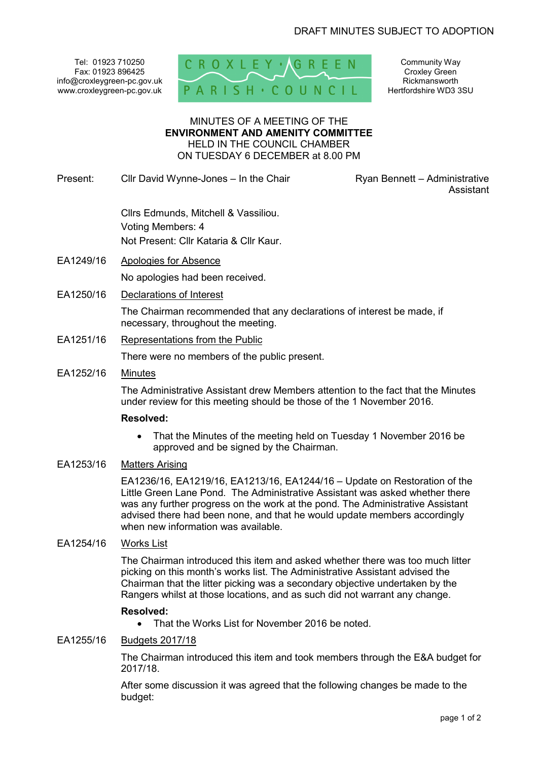Tel: 01923 710250 Fax: 01923 896425 info@croxleygreen-pc.gov.uk www.croxleygreen-pc.gov.uk



Community Way Croxley Green Rickmansworth Hertfordshire WD3 3SU

#### MINUTES OF A MEETING OF THE **ENVIRONMENT AND AMENITY COMMITTEE** HELD IN THE COUNCIL CHAMBER ON TUESDAY 6 DECEMBER at 8.00 PM

Present: Cllr David Wynne-Jones – In the Chair **Ryan Bennett – Administrative** 

Assistant

 Cllrs Edmunds, Mitchell & Vassiliou. Voting Members: 4 Not Present: Cllr Kataria & Cllr Kaur.

- EA1249/16 Apologies for Absence No apologies had been received.
- EA1250/16 Declarations of Interest

The Chairman recommended that any declarations of interest be made, if necessary, throughout the meeting.

EA1251/16 Representations from the Public

There were no members of the public present.

EA1252/16 Minutes

The Administrative Assistant drew Members attention to the fact that the Minutes under review for this meeting should be those of the 1 November 2016.

#### **Resolved:**

• That the Minutes of the meeting held on Tuesday 1 November 2016 be approved and be signed by the Chairman.

## EA1253/16 Matters Arising

EA1236/16, EA1219/16, EA1213/16, EA1244/16 – Update on Restoration of the Little Green Lane Pond. The Administrative Assistant was asked whether there was any further progress on the work at the pond. The Administrative Assistant advised there had been none, and that he would update members accordingly when new information was available.

## EA1254/16 Works List

The Chairman introduced this item and asked whether there was too much litter picking on this month's works list. The Administrative Assistant advised the Chairman that the litter picking was a secondary objective undertaken by the Rangers whilst at those locations, and as such did not warrant any change.

#### **Resolved:**

• That the Works List for November 2016 be noted.

#### EA1255/16 Budgets 2017/18

The Chairman introduced this item and took members through the E&A budget for 2017/18.

After some discussion it was agreed that the following changes be made to the budget: